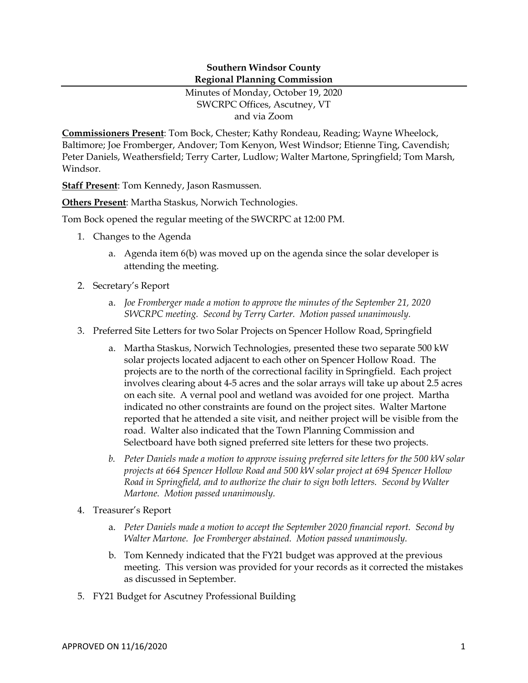## **Southern Windsor County Regional Planning Commission**

Minutes of Monday, October 19, 2020 SWCRPC Offices, Ascutney, VT and via Zoom

**Commissioners Present**: Tom Bock, Chester; Kathy Rondeau, Reading; Wayne Wheelock, Baltimore; Joe Fromberger, Andover; Tom Kenyon, West Windsor; Etienne Ting, Cavendish; Peter Daniels, Weathersfield; Terry Carter, Ludlow; Walter Martone, Springfield; Tom Marsh, Windsor.

**Staff Present**: Tom Kennedy, Jason Rasmussen.

**Others Present**: Martha Staskus, Norwich Technologies.

Tom Bock opened the regular meeting of the SWCRPC at 12:00 PM.

- 1. Changes to the Agenda
	- a. Agenda item 6(b) was moved up on the agenda since the solar developer is attending the meeting.
- 2. Secretary's Report
	- a. *Joe Fromberger made a motion to approve the minutes of the September 21, 2020 SWCRPC meeting. Second by Terry Carter. Motion passed unanimously.*
- 3. Preferred Site Letters for two Solar Projects on Spencer Hollow Road, Springfield
	- a. Martha Staskus, Norwich Technologies, presented these two separate 500 kW solar projects located adjacent to each other on Spencer Hollow Road. The projects are to the north of the correctional facility in Springfield. Each project involves clearing about 4-5 acres and the solar arrays will take up about 2.5 acres on each site. A vernal pool and wetland was avoided for one project. Martha indicated no other constraints are found on the project sites. Walter Martone reported that he attended a site visit, and neither project will be visible from the road. Walter also indicated that the Town Planning Commission and Selectboard have both signed preferred site letters for these two projects.
	- *b. Peter Daniels made a motion to approve issuing preferred site letters for the 500 kW solar projects at 664 Spencer Hollow Road and 500 kW solar project at 694 Spencer Hollow Road in Springfield, and to authorize the chair to sign both letters. Second by Walter Martone. Motion passed unanimously.*
- 4. Treasurer's Report
	- a. *Peter Daniels made a motion to accept the September 2020 financial report. Second by Walter Martone. Joe Fromberger abstained. Motion passed unanimously.*
	- b. Tom Kennedy indicated that the FY21 budget was approved at the previous meeting. This version was provided for your records as it corrected the mistakes as discussed in September.
- 5. FY21 Budget for Ascutney Professional Building